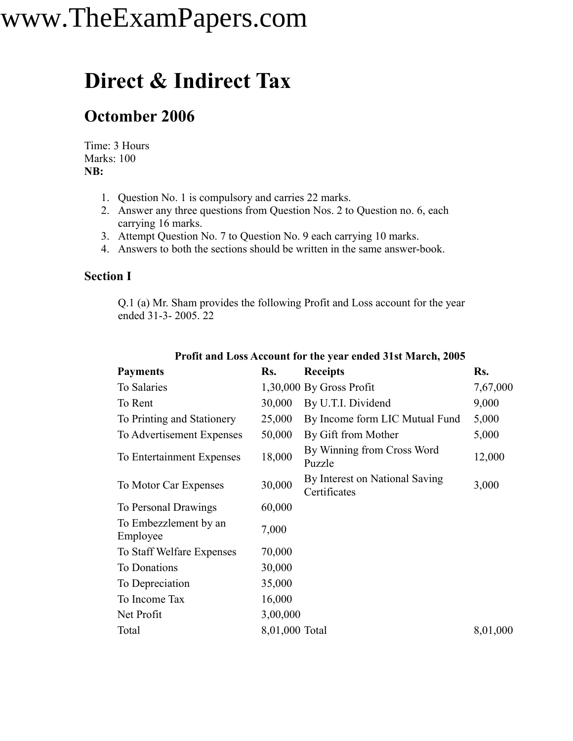### **Direct & Indirect Tax**

### **Octomber 2006**

Time: 3 Hours Marks: 100 **NB:**

- 1. Question No. 1 is compulsory and carries 22 marks.
- 2. Answer any three questions from Question Nos. 2 to Question no. 6, each carrying 16 marks.
- 3. Attempt Question No. 7 to Question No. 9 each carrying 10 marks.
- 4. Answers to both the sections should be written in the same answer-book.

#### **Section I**

Q.1 (a) Mr. Sham provides the following Profit and Loss account for the year ended 31-3- 2005. 22

| <b>Payments</b>                   | Rs.            | <b>Receipts</b>                                | Rs.      |
|-----------------------------------|----------------|------------------------------------------------|----------|
| To Salaries                       |                | $1,30,000$ By Gross Profit                     | 7,67,000 |
| To Rent                           | 30,000         | By U.T.I. Dividend                             | 9,000    |
| To Printing and Stationery        | 25,000         | By Income form LIC Mutual Fund                 | 5,000    |
| To Advertisement Expenses         | 50,000         | By Gift from Mother                            | 5,000    |
| To Entertainment Expenses         | 18,000         | By Winning from Cross Word<br>Puzzle           | 12,000   |
| To Motor Car Expenses             | 30,000         | By Interest on National Saving<br>Certificates | 3,000    |
| To Personal Drawings              | 60,000         |                                                |          |
| To Embezzlement by an<br>Employee | 7,000          |                                                |          |
| To Staff Welfare Expenses         | 70,000         |                                                |          |
| To Donations                      | 30,000         |                                                |          |
| To Depreciation                   | 35,000         |                                                |          |
| To Income Tax                     | 16,000         |                                                |          |
| Net Profit                        | 3,00,000       |                                                |          |
| Total                             | 8,01,000 Total |                                                | 8,01,000 |
|                                   |                |                                                |          |

**Profit and Loss Account for the year ended 31st March, 2005**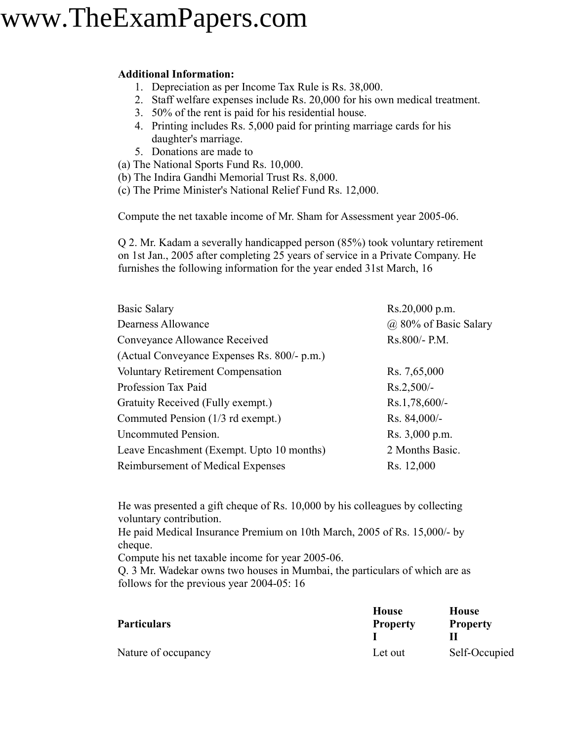#### **Additional Information:**

- 1. Depreciation as per Income Tax Rule is Rs. 38,000.
- 2. Staff welfare expenses include Rs. 20,000 for his own medical treatment.
- 3. 50% of the rent is paid for his residential house.
- 4. Printing includes Rs. 5,000 paid for printing marriage cards for his daughter's marriage.
- 5. Donations are made to
- (a) The National Sports Fund Rs. 10,000.
- (b) The Indira Gandhi Memorial Trust Rs. 8,000.
- (c) The Prime Minister's National Relief Fund Rs. 12,000.

Compute the net taxable income of Mr. Sham for Assessment year 2005-06.

Q 2. Mr. Kadam a severally handicapped person (85%) took voluntary retirement on 1st Jan., 2005 after completing 25 years of service in a Private Company. He furnishes the following information for the year ended 31st March, 16

| <b>Basic Salary</b>                         | Rs.20,000 p.m.        |  |
|---------------------------------------------|-----------------------|--|
| Dearness Allowance                          | @ 80% of Basic Salary |  |
| Conveyance Allowance Received               | Rs.800/- P.M.         |  |
| (Actual Conveyance Expenses Rs. 800/- p.m.) |                       |  |
| <b>Voluntary Retirement Compensation</b>    | Rs. 7,65,000          |  |
| Profession Tax Paid                         | $Rs.2,500/-$          |  |
| Gratuity Received (Fully exempt.)           | Rs.1,78,600/-         |  |
| Commuted Pension (1/3 rd exempt.)           | $Rs. 84,000/-$        |  |
| Uncommuted Pension.                         | Rs. 3,000 p.m.        |  |
| Leave Encashment (Exempt. Upto 10 months)   | 2 Months Basic.       |  |
| Reimbursement of Medical Expenses           | Rs. 12,000            |  |

He was presented a gift cheque of Rs. 10,000 by his colleagues by collecting voluntary contribution.

He paid Medical Insurance Premium on 10th March, 2005 of Rs. 15,000/- by cheque.

Compute his net taxable income for year 2005-06.

Q. 3 Mr. Wadekar owns two houses in Mumbai, the particulars of which are as follows for the previous year 2004-05: 16

| <b>Particulars</b>  | <b>House</b><br><b>Property</b> | <b>House</b><br><b>Property</b> |
|---------------------|---------------------------------|---------------------------------|
| Nature of occupancy | Let out                         | Self-Occupied                   |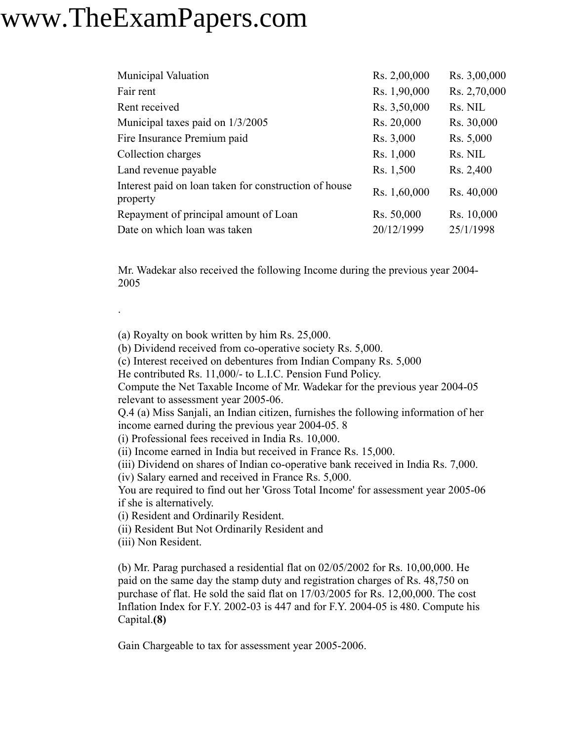| <b>Municipal Valuation</b>                                        | Rs. 2,00,000 | Rs. 3,00,000 |
|-------------------------------------------------------------------|--------------|--------------|
| Fair rent                                                         | Rs. 1,90,000 | Rs. 2,70,000 |
| Rent received                                                     | Rs. 3,50,000 | Rs. NIL      |
| Municipal taxes paid on 1/3/2005                                  | Rs. 20,000   | Rs. 30,000   |
| Fire Insurance Premium paid                                       | Rs. 3,000    | Rs. 5,000    |
| Collection charges                                                | Rs. 1,000    | Rs. NIL      |
| Land revenue payable                                              | Rs. 1,500    | Rs. 2,400    |
| Interest paid on loan taken for construction of house<br>property | Rs. 1,60,000 | Rs. 40,000   |
| Repayment of principal amount of Loan                             | Rs. 50,000   | Rs. 10,000   |
| Date on which loan was taken                                      | 20/12/1999   | 25/1/1998    |

Mr. Wadekar also received the following Income during the previous year 2004- 2005

(a) Royalty on book written by him Rs. 25,000.

(b) Dividend received from co-operative society Rs. 5,000.

(c) Interest received on debentures from Indian Company Rs. 5,000

He contributed Rs. 11,000/- to L.I.C. Pension Fund Policy.

Compute the Net Taxable Income of Mr. Wadekar for the previous year 2004-05 relevant to assessment year 2005-06.

Q.4 (a) Miss Sanjali, an Indian citizen, furnishes the following information of her income earned during the previous year 2004-05. 8

(i) Professional fees received in India Rs. 10,000.

(ii) Income earned in India but received in France Rs. 15,000.

(iii) Dividend on shares of Indian co-operative bank received in India Rs. 7,000.

(iv) Salary earned and received in France Rs. 5,000.

You are required to find out her 'Gross Total Income' for assessment year 2005-06 if she is alternatively.

(i) Resident and Ordinarily Resident.

(ii) Resident But Not Ordinarily Resident and

(iii) Non Resident.

.

(b) Mr. Parag purchased a residential flat on 02/05/2002 for Rs. 10,00,000. He paid on the same day the stamp duty and registration charges of Rs. 48,750 on purchase of flat. He sold the said flat on 17/03/2005 for Rs. 12,00,000. The cost Inflation Index for F.Y. 2002-03 is 447 and for F.Y. 2004-05 is 480. Compute his Capital.**(8)**

Gain Chargeable to tax for assessment year 2005-2006.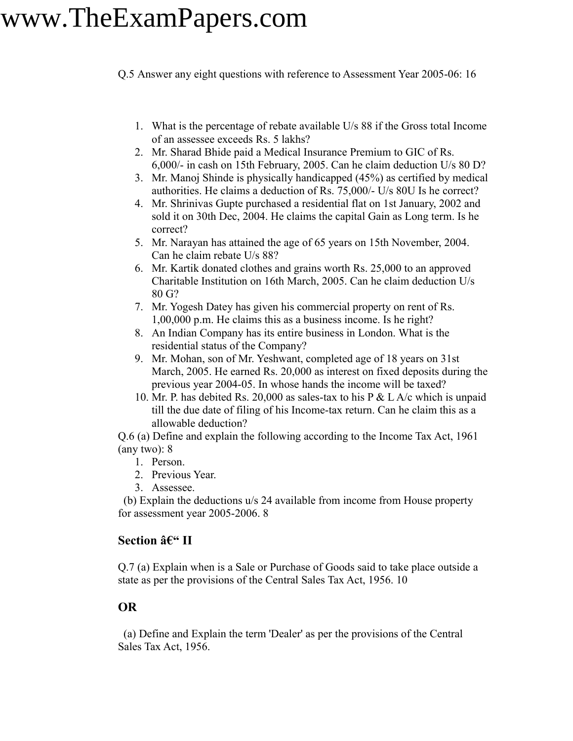Q.5 Answer any eight questions with reference to Assessment Year 2005-06: 16

- 1. What is the percentage of rebate available U/s 88 if the Gross total Income of an assessee exceeds Rs. 5 lakhs?
- 2. Mr. Sharad Bhide paid a Medical Insurance Premium to GIC of Rs. 6,000/- in cash on 15th February, 2005. Can he claim deduction U/s 80 D?
- 3. Mr. Manoj Shinde is physically handicapped (45%) as certified by medical authorities. He claims a deduction of Rs. 75,000/- U/s 80U Is he correct?
- 4. Mr. Shrinivas Gupte purchased a residential flat on 1st January, 2002 and sold it on 30th Dec, 2004. He claims the capital Gain as Long term. Is he correct?
- 5. Mr. Narayan has attained the age of 65 years on 15th November, 2004. Can he claim rebate U/s 88?
- 6. Mr. Kartik donated clothes and grains worth Rs. 25,000 to an approved Charitable Institution on 16th March, 2005. Can he claim deduction U/s 80 G?
- 7. Mr. Yogesh Datey has given his commercial property on rent of Rs. 1,00,000 p.m. He claims this as a business income. Is he right?
- 8. An Indian Company has its entire business in London. What is the residential status of the Company?
- 9. Mr. Mohan, son of Mr. Yeshwant, completed age of 18 years on 31st March, 2005. He earned Rs. 20,000 as interest on fixed deposits during the previous year 2004-05. In whose hands the income will be taxed?
- 10. Mr. P. has debited Rs. 20,000 as sales-tax to his P & L A/c which is unpaid till the due date of filing of his Income-tax return. Can he claim this as a allowable deduction?

Q.6 (a) Define and explain the following according to the Income Tax Act, 1961 (any two): 8

- 1. Person.
- 2. Previous Year.
- 3. Assessee.

(b) Explain the deductions u/s 24 available from income from House property for assessment year 2005-2006. 8

#### **Section – II**

Q.7 (a) Explain when is a Sale or Purchase of Goods said to take place outside a state as per the provisions of the Central Sales Tax Act, 1956. 10

#### **OR**

(a) Define and Explain the term 'Dealer' as per the provisions of the Central Sales Tax Act, 1956.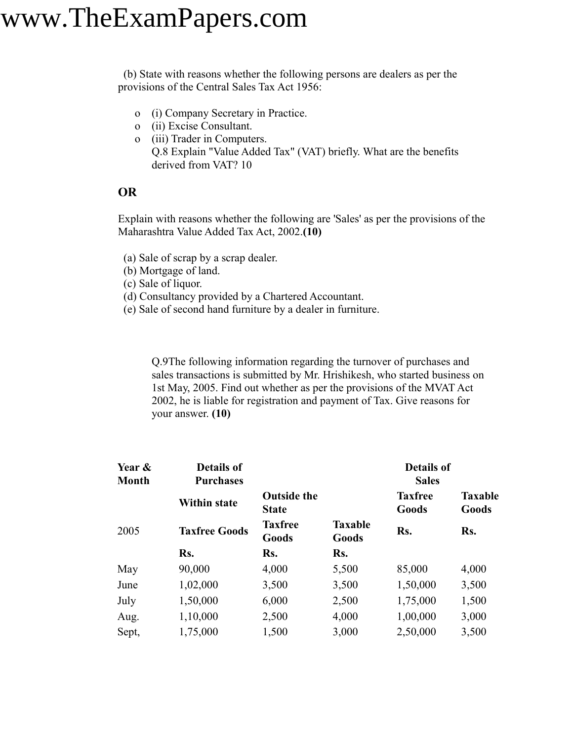(b) State with reasons whether the following persons are dealers as per the provisions of the Central Sales Tax Act 1956:

- o (i) Company Secretary in Practice.
- o (ii) Excise Consultant.
- o (iii) Trader in Computers. Q.8 Explain "Value Added Tax" (VAT) briefly. What are the benefits derived from VAT? 10

#### **OR**

Explain with reasons whether the following are 'Sales' as per the provisions of the Maharashtra Value Added Tax Act, 2002.**(10)**

- (a) Sale of scrap by a scrap dealer.
- (b) Mortgage of land.
- (c) Sale of liquor.
- (d) Consultancy provided by a Chartered Accountant.
- (e) Sale of second hand furniture by a dealer in furniture.

Q.9The following information regarding the turnover of purchases and sales transactions is submitted by Mr. Hrishikesh, who started business on 1st May, 2005. Find out whether as per the provisions of the MVAT Act 2002, he is liable for registration and payment of Tax. Give reasons for your answer. **(10)**

| Year &<br>Month | Details of<br><b>Purchases</b> |                                    | <b>Details of</b><br><b>Sales</b> |                         |                         |
|-----------------|--------------------------------|------------------------------------|-----------------------------------|-------------------------|-------------------------|
|                 | <b>Within state</b>            | <b>Outside the</b><br><b>State</b> |                                   | <b>Taxfree</b><br>Goods | <b>Taxable</b><br>Goods |
| 2005            | <b>Taxfree Goods</b>           | <b>Taxfree</b><br>Goods            | <b>Taxable</b><br>Goods           | Rs.                     | Rs.                     |
|                 | Rs.                            | Rs.                                | Rs.                               |                         |                         |
| May             | 90,000                         | 4,000                              | 5,500                             | 85,000                  | 4,000                   |
| June            | 1,02,000                       | 3,500                              | 3,500                             | 1,50,000                | 3,500                   |
| July            | 1,50,000                       | 6,000                              | 2,500                             | 1,75,000                | 1,500                   |
| Aug.            | 1,10,000                       | 2,500                              | 4,000                             | 1,00,000                | 3,000                   |
| Sept,           | 1,75,000                       | 1,500                              | 3,000                             | 2,50,000                | 3,500                   |